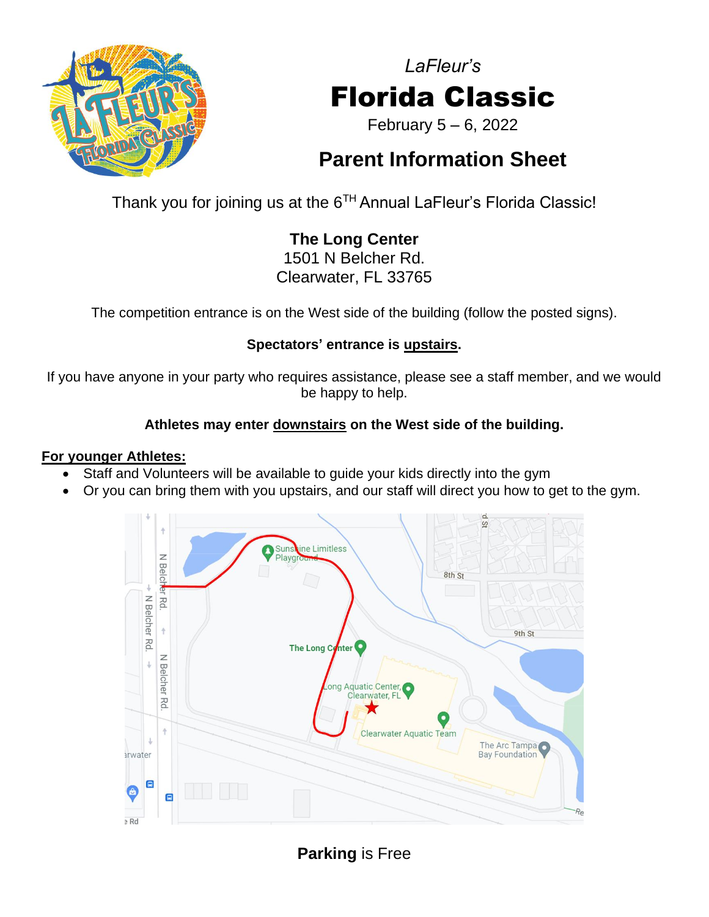

# *LaFleur's* Florida Classic

February 5 – 6, 2022

# **Parent Information Sheet**

Thank you for joining us at the  $6^{TH}$  Annual LaFleur's Florida Classic!

# **The Long Center**

1501 N Belcher Rd. Clearwater, FL 33765

The competition entrance is on the West side of the building (follow the posted signs).

#### **Spectators' entrance is upstairs.**

If you have anyone in your party who requires assistance, please see a staff member, and we would be happy to help.

#### **Athletes may enter downstairs on the West side of the building.**

#### **For younger Athletes:**

- Staff and Volunteers will be available to guide your kids directly into the gym
- Or you can bring them with you upstairs, and our staff will direct you how to get to the gym.



**Parking** is Free